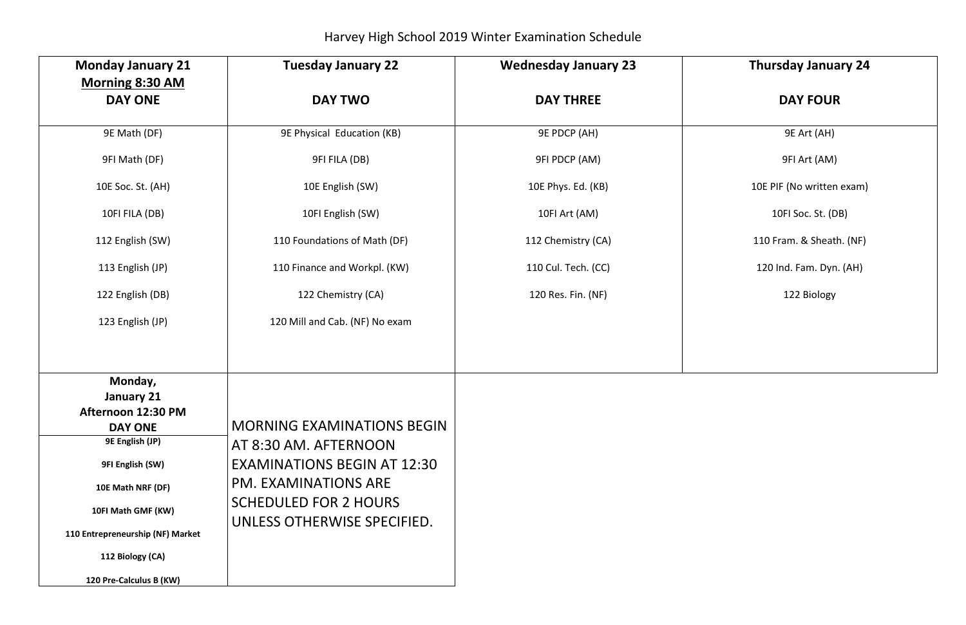Harvey High School 2019 Winter Examination Schedule

## **Thursday January 24**

## **DAY FOUR**

| <b>Monday January 21</b>                 | <b>Tuesday January 22</b>          | <b>Wednesday January 23</b> |  |
|------------------------------------------|------------------------------------|-----------------------------|--|
| <b>Morning 8:30 AM</b><br><b>DAY ONE</b> | <b>DAY TWO</b>                     | <b>DAY THREE</b>            |  |
| 9E Math (DF)                             | 9E Physical Education (KB)         | <b>9E PDCP (AH)</b>         |  |
| 9FI Math (DF)                            | 9FI FILA (DB)                      | <b>9FI PDCP (AM)</b>        |  |
| 10E Soc. St. (AH)                        | 10E English (SW)                   | 10E Phys. Ed. (KB)          |  |
| 10FI FILA (DB)                           | 10FI English (SW)                  | 10FI Art (AM)               |  |
| 112 English (SW)                         | 110 Foundations of Math (DF)       | 112 Chemistry (CA)          |  |
| 113 English (JP)                         | 110 Finance and Workpl. (KW)       | 110 Cul. Tech. (CC)         |  |
| 122 English (DB)                         | 122 Chemistry (CA)                 | 120 Res. Fin. (NF)          |  |
| 123 English (JP)                         | 120 Mill and Cab. (NF) No exam     |                             |  |
|                                          |                                    |                             |  |
| Monday,<br><b>January 21</b>             |                                    |                             |  |
| Afternoon 12:30 PM                       |                                    |                             |  |
| <b>DAY ONE</b>                           | <b>MORNING EXAMINATIONS BEGIN</b>  |                             |  |
| 9E English (JP)                          | AT 8:30 AM. AFTERNOON              |                             |  |
| 9FI English (SW)                         | <b>EXAMINATIONS BEGIN AT 12:30</b> |                             |  |
| 10E Math NRF (DF)                        | <b>PM. EXAMINATIONS ARE</b>        |                             |  |
| 10FI Math GMF (KW)                       | <b>SCHEDULED FOR 2 HOURS</b>       |                             |  |
| 110 Entrepreneurship (NF) Market         | UNLESS OTHERWISE SPECIFIED.        |                             |  |
| 112 Biology (CA)                         |                                    |                             |  |
| 120 Pre-Calculus B (KW)                  |                                    |                             |  |

9E Art (AH)

9FI Art (AM)

10E PIF (No written exam)

10FI Soc. St. (DB)

110 Fram. & Sheath. (NF)

120 Ind. Fam. Dyn. (AH)

122 Biology